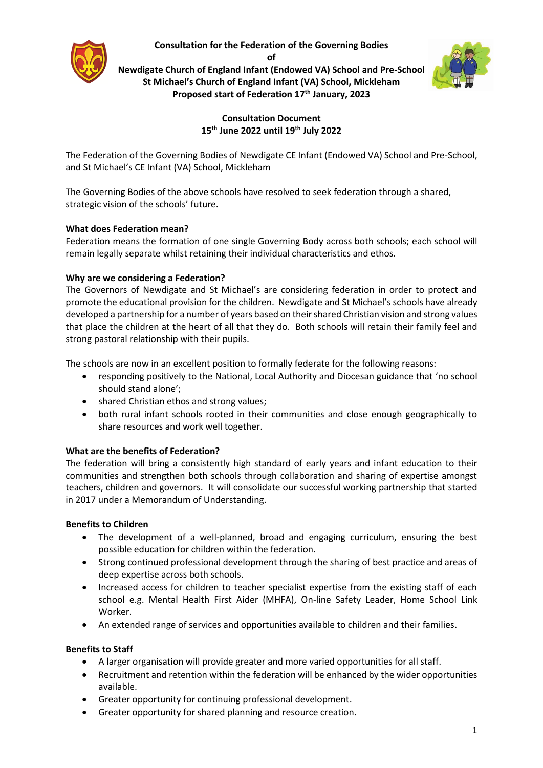**Consultation for the Federation of the Governing Bodies** 

**of**

**Newdigate Church of England Infant (Endowed VA) School and Pre-School St Michael's Church of England Infant (VA) School, Mickleham Proposed start of Federation 17th January, 2023**



# **Consultation Document 15th June 2022 until 19th July 2022**

The Federation of the Governing Bodies of Newdigate CE Infant (Endowed VA) School and Pre-School, and St Michael's CE Infant (VA) School, Mickleham

The Governing Bodies of the above schools have resolved to seek federation through a shared, strategic vision of the schools' future.

# **What does Federation mean?**

Federation means the formation of one single Governing Body across both schools; each school will remain legally separate whilst retaining their individual characteristics and ethos.

# **Why are we considering a Federation?**

The Governors of Newdigate and St Michael's are considering federation in order to protect and promote the educational provision for the children. Newdigate and St Michael's schools have already developed a partnership for a number of years based on their shared Christian vision and strong values that place the children at the heart of all that they do. Both schools will retain their family feel and strong pastoral relationship with their pupils.

The schools are now in an excellent position to formally federate for the following reasons:

- responding positively to the National, Local Authority and Diocesan guidance that 'no school should stand alone';
- shared Christian ethos and strong values;
- both rural infant schools rooted in their communities and close enough geographically to share resources and work well together.

# **What are the benefits of Federation?**

The federation will bring a consistently high standard of early years and infant education to their communities and strengthen both schools through collaboration and sharing of expertise amongst teachers, children and governors. It will consolidate our successful working partnership that started in 2017 under a Memorandum of Understanding.

# **Benefits to Children**

- The development of a well-planned, broad and engaging curriculum, ensuring the best possible education for children within the federation.
- Strong continued professional development through the sharing of best practice and areas of deep expertise across both schools.
- Increased access for children to teacher specialist expertise from the existing staff of each school e.g. Mental Health First Aider (MHFA), On-line Safety Leader, Home School Link Worker.
- An extended range of services and opportunities available to children and their families.

# **Benefits to Staff**

- A larger organisation will provide greater and more varied opportunities for all staff.
- Recruitment and retention within the federation will be enhanced by the wider opportunities available.
- Greater opportunity for continuing professional development.
- Greater opportunity for shared planning and resource creation.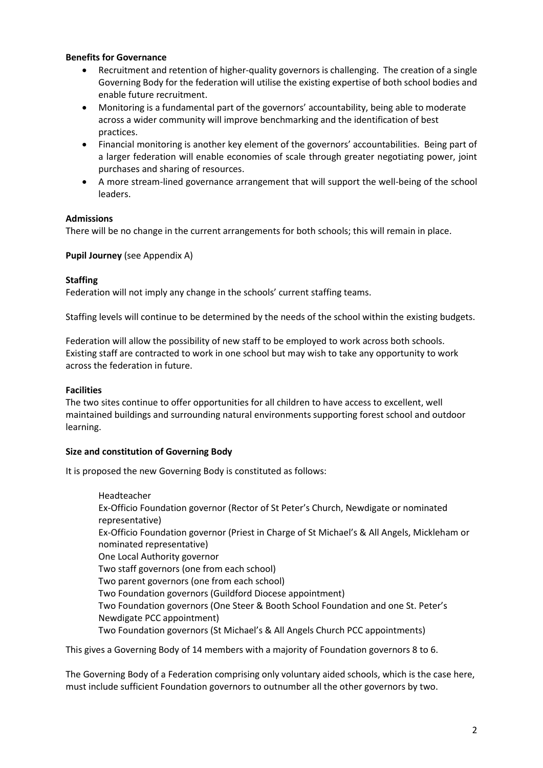#### **Benefits for Governance**

- Recruitment and retention of higher-quality governors is challenging. The creation of a single Governing Body for the federation will utilise the existing expertise of both school bodies and enable future recruitment.
- Monitoring is a fundamental part of the governors' accountability, being able to moderate across a wider community will improve benchmarking and the identification of best practices.
- Financial monitoring is another key element of the governors' accountabilities. Being part of a larger federation will enable economies of scale through greater negotiating power, joint purchases and sharing of resources.
- A more stream-lined governance arrangement that will support the well-being of the school leaders.

## **Admissions**

There will be no change in the current arrangements for both schools; this will remain in place.

**Pupil Journey** (see Appendix A)

## **Staffing**

Federation will not imply any change in the schools' current staffing teams.

Staffing levels will continue to be determined by the needs of the school within the existing budgets.

Federation will allow the possibility of new staff to be employed to work across both schools. Existing staff are contracted to work in one school but may wish to take any opportunity to work across the federation in future.

## **Facilities**

The two sites continue to offer opportunities for all children to have access to excellent, well maintained buildings and surrounding natural environments supporting forest school and outdoor learning.

# **Size and constitution of Governing Body**

It is proposed the new Governing Body is constituted as follows:

Headteacher Ex-Officio Foundation governor (Rector of St Peter's Church, Newdigate or nominated representative) Ex-Officio Foundation governor (Priest in Charge of St Michael's & All Angels, Mickleham or nominated representative) One Local Authority governor Two staff governors (one from each school) Two parent governors (one from each school) Two Foundation governors (Guildford Diocese appointment) Two Foundation governors (One Steer & Booth School Foundation and one St. Peter's Newdigate PCC appointment) Two Foundation governors (St Michael's & All Angels Church PCC appointments)

This gives a Governing Body of 14 members with a majority of Foundation governors 8 to 6.

The Governing Body of a Federation comprising only voluntary aided schools, which is the case here, must include sufficient Foundation governors to outnumber all the other governors by two.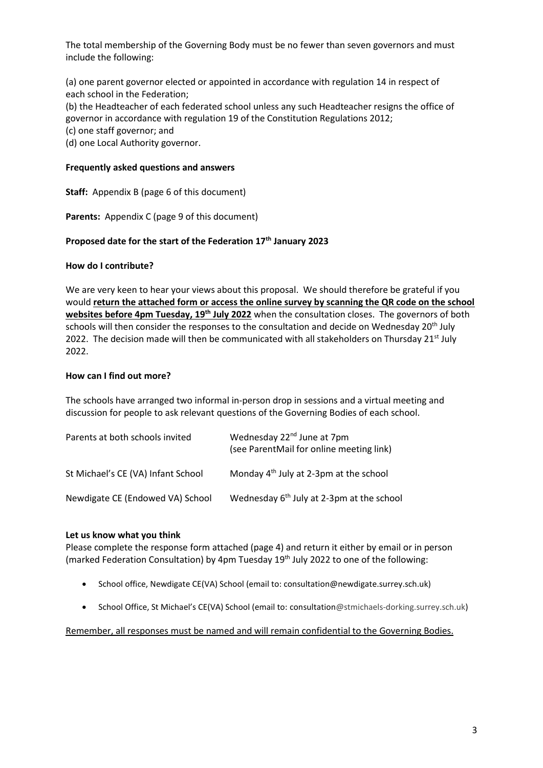The total membership of the Governing Body must be no fewer than seven governors and must include the following:

(a) one parent governor elected or appointed in accordance with regulation 14 in respect of each school in the Federation;

(b) the Headteacher of each federated school unless any such Headteacher resigns the office of governor in accordance with regulation 19 of the Constitution Regulations 2012;

- (c) one staff governor; and
- (d) one Local Authority governor.

### **Frequently asked questions and answers**

**Staff:** Appendix B (page 6 of this document)

**Parents:** Appendix C (page 9 of this document)

## **Proposed date for the start of the Federation 17th January 2023**

#### **How do I contribute?**

We are very keen to hear your views about this proposal. We should therefore be grateful if you would **return the attached form or access the online survey by scanning the QR code on the school websites before 4pm Tuesday, 19th July 2022** when the consultation closes. The governors of both schools will then consider the responses to the consultation and decide on Wednesday 20<sup>th</sup> July 2022. The decision made will then be communicated with all stakeholders on Thursday  $21<sup>st</sup>$  July 2022.

#### **How can I find out more?**

The schools have arranged two informal in-person drop in sessions and a virtual meeting and discussion for people to ask relevant questions of the Governing Bodies of each school.

| Parents at both schools invited    | Wednesday 22 <sup>nd</sup> June at 7pm<br>(see ParentMail for online meeting link) |
|------------------------------------|------------------------------------------------------------------------------------|
| St Michael's CE (VA) Infant School | Monday 4 <sup>th</sup> July at 2-3pm at the school                                 |
| Newdigate CE (Endowed VA) School   | Wednesday 6 <sup>th</sup> July at 2-3pm at the school                              |

#### **Let us know what you think**

Please complete the response form attached (page 4) and return it either by email or in person (marked Federation Consultation) by 4pm Tuesday 19<sup>th</sup> July 2022 to one of the following:

- School office, Newdigate CE(VA) School (email to: consultation@newdigate.surrey.sch.uk)
- School Office, St Michael's CE(VA) School (email to: consultation@stmichaels-dorking.surrey.sch.uk)

#### Remember, all responses must be named and will remain confidential to the Governing Bodies.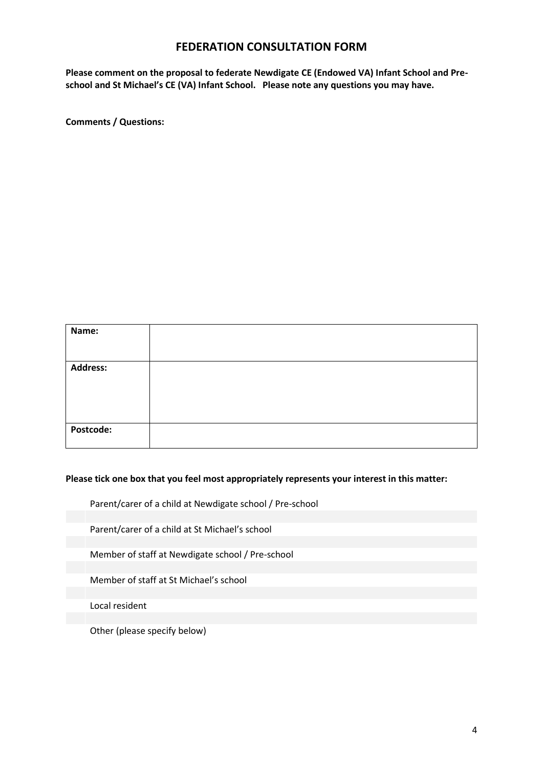# **FEDERATION CONSULTATION FORM**

**Please comment on the proposal to federate Newdigate CE (Endowed VA) Infant School and Preschool and St Michael's CE (VA) Infant School. Please note any questions you may have.**

**Comments / Questions:**

| Name:           |  |
|-----------------|--|
| <b>Address:</b> |  |
| Postcode:       |  |

#### **Please tick one box that you feel most appropriately represents your interest in this matter:**

Parent/carer of a child at Newdigate school / Pre-school

Parent/carer of a child at St Michael's school

Member of staff at Newdigate school / Pre-school

Member of staff at St Michael's school

Local resident

Other (please specify below)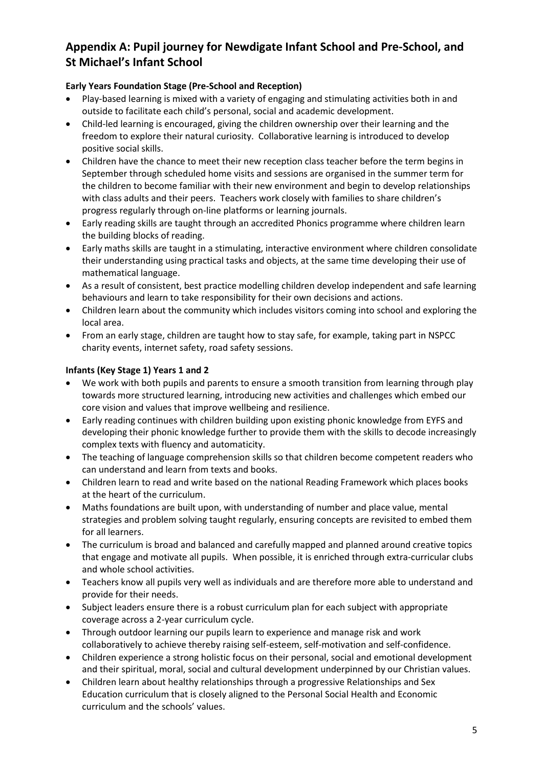# **Appendix A: Pupil journey for Newdigate Infant School and Pre-School, and St Michael's Infant School**

# **Early Years Foundation Stage (Pre-School and Reception)**

- Play-based learning is mixed with a variety of engaging and stimulating activities both in and outside to facilitate each child's personal, social and academic development.
- Child-led learning is encouraged, giving the children ownership over their learning and the freedom to explore their natural curiosity. Collaborative learning is introduced to develop positive social skills.
- Children have the chance to meet their new reception class teacher before the term begins in September through scheduled home visits and sessions are organised in the summer term for the children to become familiar with their new environment and begin to develop relationships with class adults and their peers. Teachers work closely with families to share children's progress regularly through on-line platforms or learning journals.
- Early reading skills are taught through an accredited Phonics programme where children learn the building blocks of reading.
- Early maths skills are taught in a stimulating, interactive environment where children consolidate their understanding using practical tasks and objects, at the same time developing their use of mathematical language.
- As a result of consistent, best practice modelling children develop independent and safe learning behaviours and learn to take responsibility for their own decisions and actions.
- Children learn about the community which includes visitors coming into school and exploring the local area.
- From an early stage, children are taught how to stay safe, for example, taking part in NSPCC charity events, internet safety, road safety sessions.

# **Infants (Key Stage 1) Years 1 and 2**

- We work with both pupils and parents to ensure a smooth transition from learning through play towards more structured learning, introducing new activities and challenges which embed our core vision and values that improve wellbeing and resilience.
- Early reading continues with children building upon existing phonic knowledge from EYFS and developing their phonic knowledge further to provide them with the skills to decode increasingly complex texts with fluency and automaticity.
- The teaching of language comprehension skills so that children become competent readers who can understand and learn from texts and books.
- Children learn to read and write based on the national Reading Framework which places books at the heart of the curriculum.
- Maths foundations are built upon, with understanding of number and place value, mental strategies and problem solving taught regularly, ensuring concepts are revisited to embed them for all learners.
- The curriculum is broad and balanced and carefully mapped and planned around creative topics that engage and motivate all pupils. When possible, it is enriched through extra-curricular clubs and whole school activities.
- Teachers know all pupils very well as individuals and are therefore more able to understand and provide for their needs.
- Subject leaders ensure there is a robust curriculum plan for each subject with appropriate coverage across a 2-year curriculum cycle.
- Through outdoor learning our pupils learn to experience and manage risk and work collaboratively to achieve thereby raising self-esteem, self-motivation and self-confidence.
- Children experience a strong holistic focus on their personal, social and emotional development and their spiritual, moral, social and cultural development underpinned by our Christian values.
- Children learn about healthy relationships through a progressive Relationships and Sex Education curriculum that is closely aligned to the Personal Social Health and Economic curriculum and the schools' values.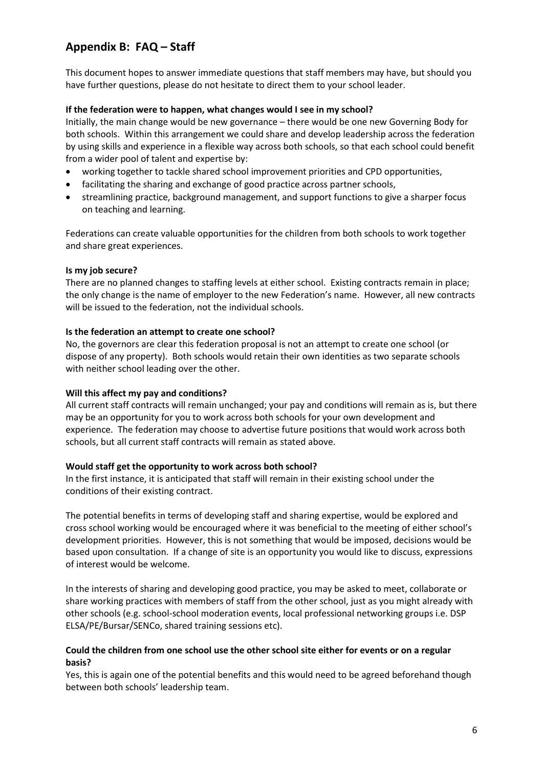# **Appendix B: FAQ – Staff**

This document hopes to answer immediate questions that staff members may have, but should you have further questions, please do not hesitate to direct them to your school leader.

## **If the federation were to happen, what changes would I see in my school?**

Initially, the main change would be new governance – there would be one new Governing Body for both schools. Within this arrangement we could share and develop leadership across the federation by using skills and experience in a flexible way across both schools, so that each school could benefit from a wider pool of talent and expertise by:

- working together to tackle shared school improvement priorities and CPD opportunities,
- facilitating the sharing and exchange of good practice across partner schools,
- streamlining practice, background management, and support functions to give a sharper focus on teaching and learning.

Federations can create valuable opportunities for the children from both schools to work together and share great experiences.

## **Is my job secure?**

There are no planned changes to staffing levels at either school. Existing contracts remain in place; the only change is the name of employer to the new Federation's name. However, all new contracts will be issued to the federation, not the individual schools.

## **Is the federation an attempt to create one school?**

No, the governors are clear this federation proposal is not an attempt to create one school (or dispose of any property). Both schools would retain their own identities as two separate schools with neither school leading over the other.

# **Will this affect my pay and conditions?**

All current staff contracts will remain unchanged; your pay and conditions will remain as is, but there may be an opportunity for you to work across both schools for your own development and experience. The federation may choose to advertise future positions that would work across both schools, but all current staff contracts will remain as stated above.

#### **Would staff get the opportunity to work across both school?**

In the first instance, it is anticipated that staff will remain in their existing school under the conditions of their existing contract.

The potential benefits in terms of developing staff and sharing expertise, would be explored and cross school working would be encouraged where it was beneficial to the meeting of either school's development priorities. However, this is not something that would be imposed, decisions would be based upon consultation. If a change of site is an opportunity you would like to discuss, expressions of interest would be welcome.

In the interests of sharing and developing good practice, you may be asked to meet, collaborate or share working practices with members of staff from the other school, just as you might already with other schools (e.g. school-school moderation events, local professional networking groups i.e. DSP ELSA/PE/Bursar/SENCo, shared training sessions etc).

## **Could the children from one school use the other school site either for events or on a regular basis?**

Yes, this is again one of the potential benefits and this would need to be agreed beforehand though between both schools' leadership team.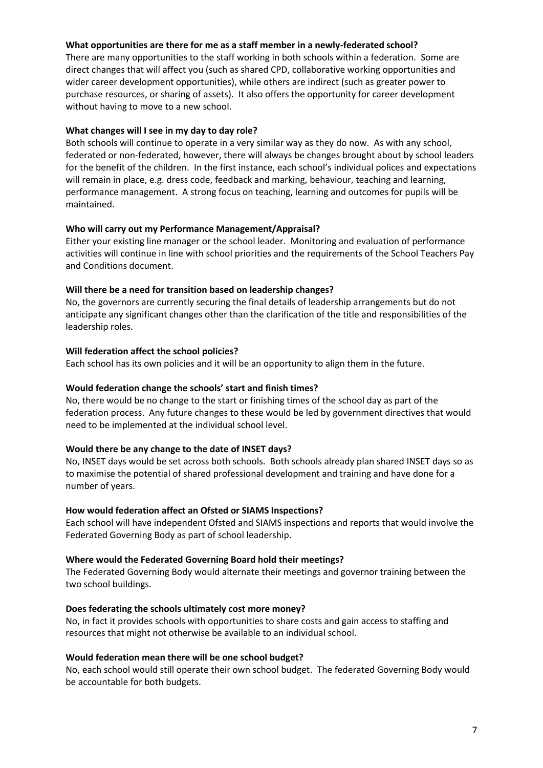### **What opportunities are there for me as a staff member in a newly-federated school?**

There are many opportunities to the staff working in both schools within a federation. Some are direct changes that will affect you (such as shared CPD, collaborative working opportunities and wider career development opportunities), while others are indirect (such as greater power to purchase resources, or sharing of assets). It also offers the opportunity for career development without having to move to a new school.

### **What changes will I see in my day to day role?**

Both schools will continue to operate in a very similar way as they do now. As with any school, federated or non-federated, however, there will always be changes brought about by school leaders for the benefit of the children. In the first instance, each school's individual polices and expectations will remain in place, e.g. dress code, feedback and marking, behaviour, teaching and learning, performance management. A strong focus on teaching, learning and outcomes for pupils will be maintained.

## **Who will carry out my Performance Management/Appraisal?**

Either your existing line manager or the school leader. Monitoring and evaluation of performance activities will continue in line with school priorities and the requirements of the School Teachers Pay and Conditions document.

## **Will there be a need for transition based on leadership changes?**

No, the governors are currently securing the final details of leadership arrangements but do not anticipate any significant changes other than the clarification of the title and responsibilities of the leadership roles.

## **Will federation affect the school policies?**

Each school has its own policies and it will be an opportunity to align them in the future.

## **Would federation change the schools' start and finish times?**

No, there would be no change to the start or finishing times of the school day as part of the federation process. Any future changes to these would be led by government directives that would need to be implemented at the individual school level.

#### **Would there be any change to the date of INSET days?**

No, INSET days would be set across both schools. Both schools already plan shared INSET days so as to maximise the potential of shared professional development and training and have done for a number of years.

#### **How would federation affect an Ofsted or SIAMS Inspections?**

Each school will have independent Ofsted and SIAMS inspections and reports that would involve the Federated Governing Body as part of school leadership.

#### **Where would the Federated Governing Board hold their meetings?**

The Federated Governing Body would alternate their meetings and governor training between the two school buildings.

# **Does federating the schools ultimately cost more money?**

No, in fact it provides schools with opportunities to share costs and gain access to staffing and resources that might not otherwise be available to an individual school.

# **Would federation mean there will be one school budget?**

No, each school would still operate their own school budget. The federated Governing Body would be accountable for both budgets.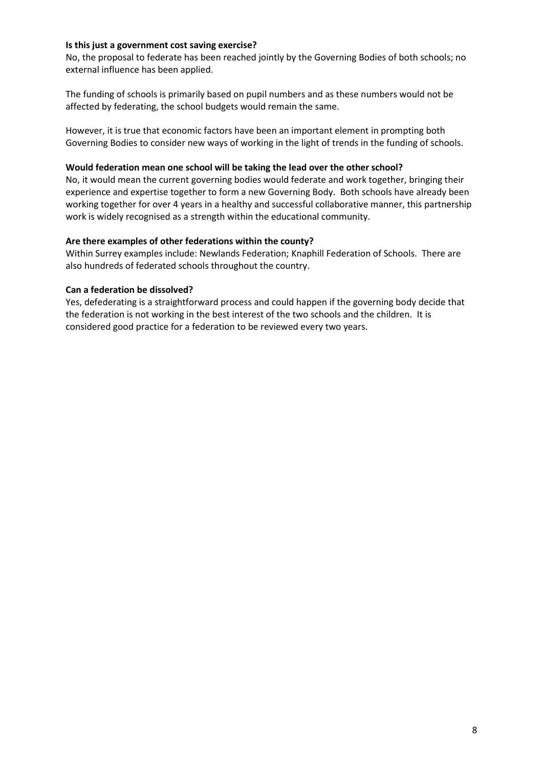### **Is this just a government cost saving exercise?**

No, the proposal to federate has been reached jointly by the Governing Bodies of both schools; no external influence has been applied.

The funding of schools is primarily based on pupil numbers and as these numbers would not be affected by federating, the school budgets would remain the same.

However, it is true that economic factors have been an important element in prompting both Governing Bodies to consider new ways of working in the light of trends in the funding of schools.

#### **Would federation mean one school will be taking the lead over the other school?**

No, it would mean the current governing bodies would federate and work together, bringing their experience and expertise together to form a new Governing Body. Both schools have already been working together for over 4 years in a healthy and successful collaborative manner, this partnership work is widely recognised as a strength within the educational community.

## **Are there examples of other federations within the county?**

Within Surrey examples include: Newlands Federation; Knaphill Federation of Schools. There are also hundreds of federated schools throughout the country.

## **Can a federation be dissolved?**

Yes, defederating is a straightforward process and could happen if the governing body decide that the federation is not working in the best interest of the two schools and the children. It is considered good practice for a federation to be reviewed every two years.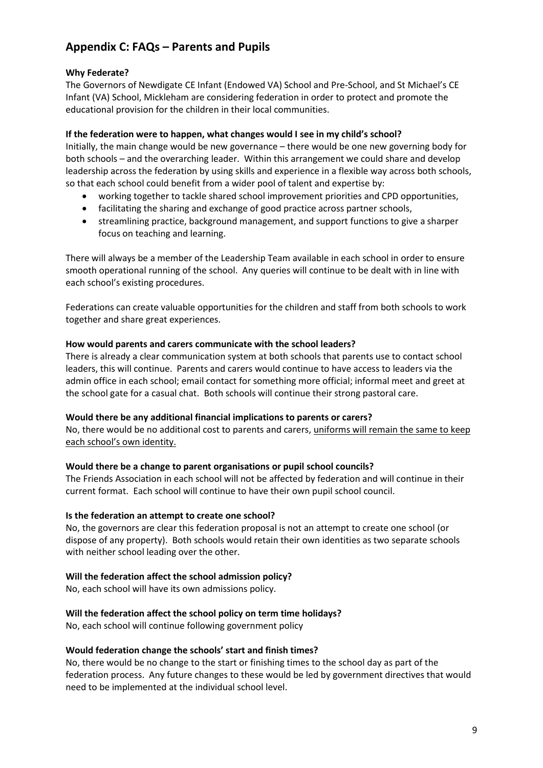# **Appendix C: FAQs – Parents and Pupils**

# **Why Federate?**

The Governors of Newdigate CE Infant (Endowed VA) School and Pre-School, and St Michael's CE Infant (VA) School, Mickleham are considering federation in order to protect and promote the educational provision for the children in their local communities.

# **If the federation were to happen, what changes would I see in my child's school?**

Initially, the main change would be new governance – there would be one new governing body for both schools – and the overarching leader. Within this arrangement we could share and develop leadership across the federation by using skills and experience in a flexible way across both schools, so that each school could benefit from a wider pool of talent and expertise by:

- working together to tackle shared school improvement priorities and CPD opportunities,
- facilitating the sharing and exchange of good practice across partner schools,
- streamlining practice, background management, and support functions to give a sharper focus on teaching and learning.

There will always be a member of the Leadership Team available in each school in order to ensure smooth operational running of the school. Any queries will continue to be dealt with in line with each school's existing procedures.

Federations can create valuable opportunities for the children and staff from both schools to work together and share great experiences.

# **How would parents and carers communicate with the school leaders?**

There is already a clear communication system at both schools that parents use to contact school leaders, this will continue. Parents and carers would continue to have access to leaders via the admin office in each school; email contact for something more official; informal meet and greet at the school gate for a casual chat. Both schools will continue their strong pastoral care.

# **Would there be any additional financial implications to parents or carers?**

No, there would be no additional cost to parents and carers, uniforms will remain the same to keep each school's own identity.

# **Would there be a change to parent organisations or pupil school councils?**

The Friends Association in each school will not be affected by federation and will continue in their current format. Each school will continue to have their own pupil school council.

# **Is the federation an attempt to create one school?**

No, the governors are clear this federation proposal is not an attempt to create one school (or dispose of any property). Both schools would retain their own identities as two separate schools with neither school leading over the other.

# **Will the federation affect the school admission policy?**

No, each school will have its own admissions policy.

# **Will the federation affect the school policy on term time holidays?**

No, each school will continue following government policy

#### **Would federation change the schools' start and finish times?**

No, there would be no change to the start or finishing times to the school day as part of the federation process. Any future changes to these would be led by government directives that would need to be implemented at the individual school level.